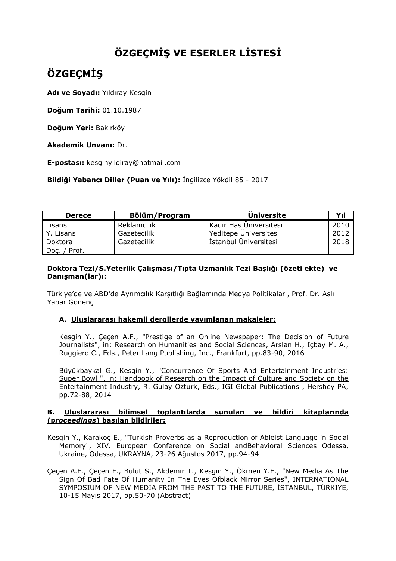## **ÖZGEÇMİŞ VE ESERLER LİSTESİ**

# **ÖZGEÇMİŞ**

**Adı ve Soyadı:** Yıldıray Kesgin

**Doğum Tarihi:** 01.10.1987

**Doğum Yeri:** Bakırköy

**Akademik Unvanı:** Dr.

**E-postası:** kesginyildiray@hotmail.com

**Bildiği Yabancı Diller (Puan ve Yılı):** İngilizce Yökdil 85 - 2017

| <b>Derece</b> | Bölüm/Program | <b>Üniversite</b>      | Yıl  |
|---------------|---------------|------------------------|------|
| Lisans        | Reklamcılık   | Kadir Has Üniversitesi | 2010 |
| Y. Lisans     | Gazetecilik   | Yeditepe Üniversitesi  | 2012 |
| Doktora       | Gazetecilik   | İstanbul Üniversitesi  | 2018 |
| Doç. / Prof.  |               |                        |      |

### **Doktora Tezi/S.Yeterlik Çalışması/Tıpta Uzmanlık Tezi Başlığı (özeti ekte) ve Danışman(lar)ı:**

Türkiye'de ve ABD'de Ayrımcılık Karşıtlığı Bağlamında Medya Politikaları, Prof. Dr. Aslı Yapar Gönenç

### **A. Uluslararası hakemli dergilerde yayımlanan makaleler:**

Kesgin Y., Çeçen A.F., "Prestige of an Online Newspaper: The Decision of Future Journalists", in: Research on Humanities and Social Sciences, Arslan H., Içbay M. A., Ruggiero C., Eds., Peter Lang Publishing, Inc., Frankfurt, pp.83-90, 2016

Büyükbaykal G., Kesgin Y., "Concurrence Of Sports And Entertainment Industries: Super Bowl ", in: Handbook of Research on the Impact of Culture and Society on the Entertainment Industry, R. Gulay Ozturk, Eds., IGI Global Publications , Hershey PA, pp.72-88, 2014

#### **B. Uluslararası bilimsel toplantılarda sunulan ve bildiri kitaplarında (p***roceedings***) basılan bildiriler:**

- Kesgin Y., Karakoç E., "Turkish Proverbs as a Reproduction of Ableist Language in Social Memory", XIV. European Conference on Social andBehavioral Sciences Odessa, Ukraine, Odessa, UKRAYNA, 23-26 Ağustos 2017, pp.94-94
- Çeçen A.F., Çeçen F., Bulut S., Akdemir T., Kesgin Y., Ökmen Y.E., "New Media As The Sign Of Bad Fate Of Humanity In The Eyes Ofblack Mirror Series", INTERNATIONAL SYMPOSIUM OF NEW MEDIA FROM THE PAST TO THE FUTURE, İSTANBUL, TÜRKIYE, 10-15 Mayıs 2017, pp.50-70 (Abstract)